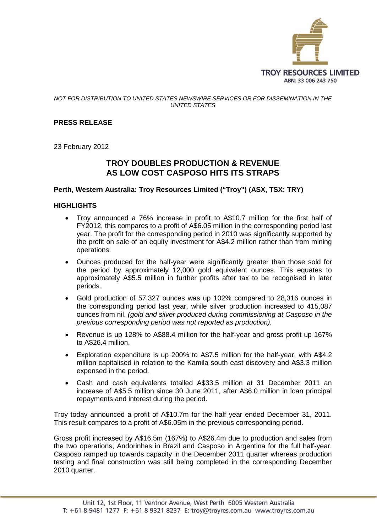

#### *NOT FOR DISTRIBUTION TO UNITED STATES NEWSWIRE SERVICES OR FOR DISSEMINATION IN THE UNITED STATES*

## **PRESS RELEASE**

23 February 2012

# **TROY DOUBLES PRODUCTION & REVENUE AS LOW COST CASPOSO HITS ITS STRAPS**

#### **Perth, Western Australia: Troy Resources Limited ("Troy") (ASX, TSX: TRY)**

#### **HIGHLIGHTS**

- Troy announced a 76% increase in profit to A\$10.7 million for the first half of FY2012, this compares to a profit of A\$6.05 million in the corresponding period last year. The profit for the corresponding period in 2010 was significantly supported by the profit on sale of an equity investment for A\$4.2 million rather than from mining operations.
- Ounces produced for the half-year were significantly greater than those sold for the period by approximately 12,000 gold equivalent ounces. This equates to approximately A\$5.5 million in further profits after tax to be recognised in later periods.
- Gold production of 57,327 ounces was up 102% compared to 28,316 ounces in the corresponding period last year, while silver production increased to 415,087 ounces from nil. *(gold and silver produced during commissioning at Casposo in the previous corresponding period was not reported as production).*
- Revenue is up 128% to A\$88.4 million for the half-year and gross profit up 167% to A\$26.4 million.
- Exploration expenditure is up 200% to A\$7.5 million for the half-year, with A\$4.2 million capitalised in relation to the Kamila south east discovery and A\$3.3 million expensed in the period.
- Cash and cash equivalents totalled A\$33.5 million at 31 December 2011 an increase of A\$5.5 million since 30 June 2011, after A\$6.0 million in loan principal repayments and interest during the period.

Troy today announced a profit of A\$10.7m for the half year ended December 31, 2011. This result compares to a profit of A\$6.05m in the previous corresponding period.

Gross profit increased by A\$16.5m (167%) to A\$26.4m due to production and sales from the two operations, Andorinhas in Brazil and Casposo in Argentina for the full half-year. Casposo ramped up towards capacity in the December 2011 quarter whereas production testing and final construction was still being completed in the corresponding December 2010 quarter.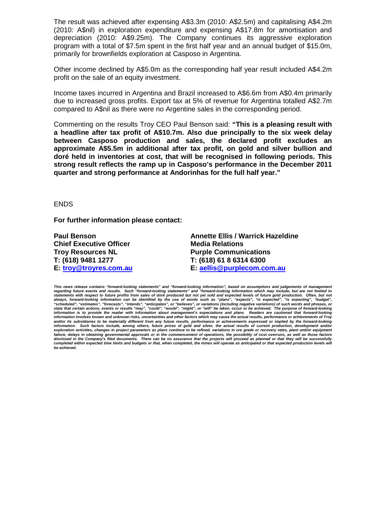The result was achieved after expensing A\$3.3m (2010: A\$2.5m) and capitalising A\$4.2m (2010: A\$nil) in exploration expenditure and expensing A\$17.8m for amortisation and depreciation (2010: A\$9.25m). The Company continues its aggressive exploration program with a total of \$7.5m spent in the first half year and an annual budget of \$15.0m, primarily for brownfields exploration at Casposo in Argentina.

Other income declined by A\$5.0m as the corresponding half year result included A\$4.2m profit on the sale of an equity investment.

Income taxes incurred in Argentina and Brazil increased to A\$6.6m from A\$0.4m primarily due to increased gross profits. Export tax at 5% of revenue for Argentina totalled A\$2.7m compared to A\$nil as there were no Argentine sales in the corresponding period.

Commenting on the results Troy CEO Paul Benson said: **"This is a pleasing result with a headline after tax profit of A\$10.7m. Also due principally to the six week delay between Casposo production and sales, the declared profit excludes an approximate A\$5.5m in additional after tax profit, on gold and silver bullion and doré held in inventories at cost, that will be recognised in following periods. This strong result reflects the ramp up in Casposo's performance in the December 2011 quarter and strong performance at Andorinhas for the full half year."**

#### ENDS

**For further information please contact:**

**Chief Executive Officer Media Relations<br>
Troy Resources NL<br>
Purple Commun** 

**Paul Benson Annette Ellis / Warrick Hazeldine Troy Resources NL Purple Communications T: (618) 9481 1277 T: (618) 61 8 6314 6300 E: [troy@troyres.com.au](file:///C:\Users\Rachel\AppData\Local\Microsoft\Windows\Temporary%20Internet%20Files\Content.Outlook\Local%20Settings\Temporary%20Internet%20Files\Content.Outlook\Local%20Settings\Documents%20and%20Settings\paul.benson\Local%20Settings\Temporary%20Internet%20Files\AEllis.SBS\Local%20Settings\Temporary%20Internet%20Files\Local%20Settings\Temporary%20Internet%20Files\Content.Outlook\0EWZFCFH\troy@troyres.com.au) E: [aellis@purplecom.com.au](mailto:aellis@purplecom.com.au)**

This news release contains "forward-looking statements" and "forward-looking information", based on assumptions and judgements of management<br>regarding future events and results. Such "forward-looking statements" and "forwa "scheduled", "estimates", "forecasts", "intends", "anticipates", or "believes", or variations (including negative variations) of such words and phrases, or<br>state that certain actions, events or results "may", "could", "wou and/or its subsidiaries to be materially different from any future results, performance or achievements expressed or implied by the forward-looking<br>information. Such factors include, among others, future prices of gold an failure, delays in obtaining governmental approvals or in the commencement of operations, the possibility of cost overruns, as well as those factors<br>disclosed in the Company's filed documents. There can be no assurance th completed within expected time limits and budgets or that, when completed, the mines will operate as anticipated or that expected production levels will *be achieved.*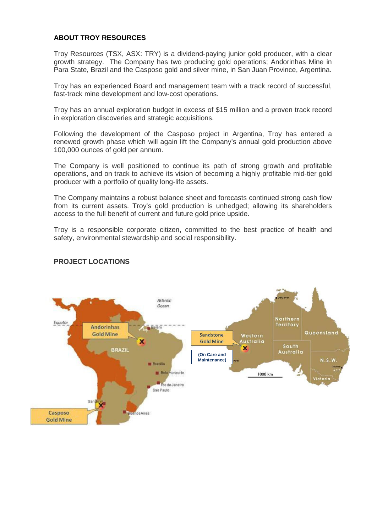#### **ABOUT TROY RESOURCES**

Troy Resources (TSX, ASX: TRY) is a dividend-paying junior gold producer, with a clear growth strategy. The Company has two producing gold operations; Andorinhas Mine in Para State, Brazil and the Casposo gold and silver mine, in San Juan Province, Argentina.

Troy has an experienced Board and management team with a track record of successful, fast-track mine development and low-cost operations.

Troy has an annual exploration budget in excess of \$15 million and a proven track record in exploration discoveries and strategic acquisitions.

Following the development of the Casposo project in Argentina, Troy has entered a renewed growth phase which will again lift the Company's annual gold production above 100,000 ounces of gold per annum.

The Company is well positioned to continue its path of strong growth and profitable operations, and on track to achieve its vision of becoming a highly profitable mid-tier gold producer with a portfolio of quality long-life assets.

The Company maintains a robust balance sheet and forecasts continued strong cash flow from its current assets. Troy's gold production is unhedged; allowing its shareholders access to the full benefit of current and future gold price upside.

Troy is a responsible corporate citizen, committed to the best practice of health and safety, environmental stewardship and social responsibility.



## **PROJECT LOCATIONS**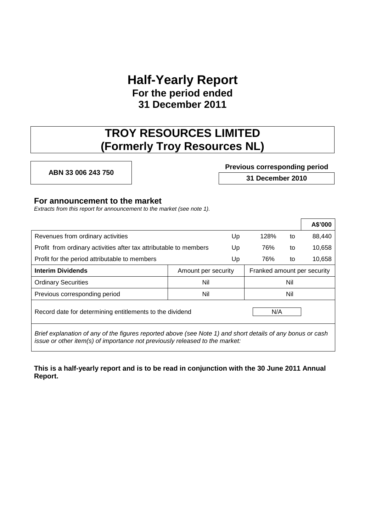# **Half-Yearly Report For the period ended 31 December 2011**

# **TROY RESOURCES LIMITED (Formerly Troy Resources NL)**

# **ABN 33 006 243 750 Previous corresponding period 31 December 2010**

## **For announcement to the market**

*Extracts from this report for announcement to the market (see note 1).*

|                                                                                                                                                                                           |                     |    |                             |     | A\$'000 |
|-------------------------------------------------------------------------------------------------------------------------------------------------------------------------------------------|---------------------|----|-----------------------------|-----|---------|
| Revenues from ordinary activities                                                                                                                                                         |                     | Up | 128%                        | to  | 88,440  |
| Profit from ordinary activities after tax attributable to members                                                                                                                         |                     | Up | 76%                         | to  | 10,658  |
| Profit for the period attributable to members                                                                                                                                             |                     | Up | 76%                         | to  | 10,658  |
| <b>Interim Dividends</b>                                                                                                                                                                  | Amount per security |    | Franked amount per security |     |         |
| <b>Ordinary Securities</b>                                                                                                                                                                | Nil                 |    | Nil                         |     |         |
| Previous corresponding period                                                                                                                                                             | Nil                 |    |                             | Nil |         |
| Record date for determining entitlements to the dividend<br>N/A                                                                                                                           |                     |    |                             |     |         |
| Brief explanation of any of the figures reported above (see Note 1) and short details of any bonus or cash<br>issue or other item(s) of importance not previously released to the market: |                     |    |                             |     |         |

**This is a half-yearly report and is to be read in conjunction with the 30 June 2011 Annual Report.**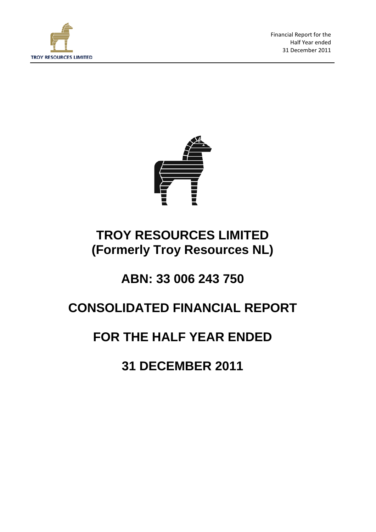

Financial Report for the Half Year ended 31 December 2011



# **TROY RESOURCES LIMITED (Formerly Troy Resources NL)**

# **ABN: 33 006 243 750**

# **CONSOLIDATED FINANCIAL REPORT**

# **FOR THE HALF YEAR ENDED**

**31 DECEMBER 2011**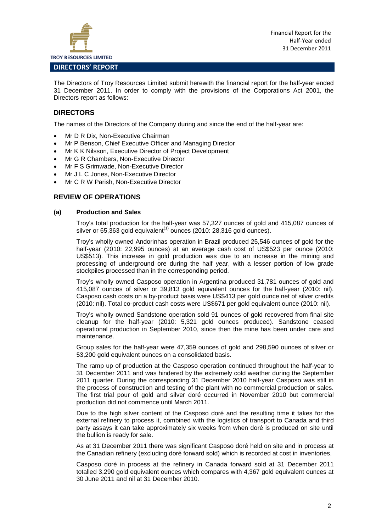

The Directors of Troy Resources Limited submit herewith the financial report for the half-year ended 31 December 2011. In order to comply with the provisions of the Corporations Act 2001, the Directors report as follows:

## **DIRECTORS**

The names of the Directors of the Company during and since the end of the half-year are:

- Mr D R Dix, Non-Executive Chairman
- Mr P Benson, Chief Executive Officer and Managing Director
- Mr K K Nilsson, Executive Director of Project Development
- Mr G R Chambers, Non-Executive Director
- Mr F S Grimwade, Non-Executive Director
- Mr J L C Jones, Non-Executive Director
- Mr C R W Parish, Non-Executive Director

### **REVIEW OF OPERATIONS**

#### **(a) Production and Sales**

Troy's total production for the half-year was 57,327 ounces of gold and 415,087 ounces of silver or  $65,363$  gold equivalent<sup> $(1)$ </sup> ounces (2010: 28,316 gold ounces).

Troy's wholly owned Andorinhas operation in Brazil produced 25,546 ounces of gold for the half-year (2010: 22,995 ounces) at an average cash cost of US\$523 per ounce (2010: US\$513). This increase in gold production was due to an increase in the mining and processing of underground ore during the half year, with a lesser portion of low grade stockpiles processed than in the corresponding period.

Troy's wholly owned Casposo operation in Argentina produced 31,781 ounces of gold and 415,087 ounces of silver or 39,813 gold equivalent ounces for the half-year (2010: nil). Casposo cash costs on a by-product basis were US\$413 per gold ounce net of silver credits (2010: nil). Total co-product cash costs were US\$671 per gold equivalent ounce (2010: nil).

Troy's wholly owned Sandstone operation sold 91 ounces of gold recovered from final site cleanup for the half-year (2010: 5,321 gold ounces produced). Sandstone ceased operational production in September 2010, since then the mine has been under care and maintenance.

Group sales for the half-year were 47,359 ounces of gold and 298,590 ounces of silver or 53,200 gold equivalent ounces on a consolidated basis.

The ramp up of production at the Casposo operation continued throughout the half-year to 31 December 2011 and was hindered by the extremely cold weather during the September 2011 quarter. During the corresponding 31 December 2010 half-year Casposo was still in the process of construction and testing of the plant with no commercial production or sales. The first trial pour of gold and silver doré occurred in November 2010 but commercial production did not commence until March 2011.

Due to the high silver content of the Casposo doré and the resulting time it takes for the external refinery to process it, combined with the logistics of transport to Canada and third party assays it can take approximately six weeks from when doré is produced on site until the bullion is ready for sale.

As at 31 December 2011 there was significant Casposo doré held on site and in process at the Canadian refinery (excluding doré forward sold) which is recorded at cost in inventories.

Casposo doré in process at the refinery in Canada forward sold at 31 December 2011 totalled 3,290 gold equivalent ounces which compares with 4,367 gold equivalent ounces at 30 June 2011 and nil at 31 December 2010.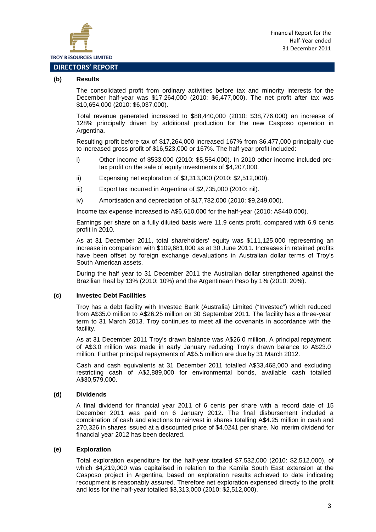

# **DIRECTORS' REPORT**

#### **(b) Results**

The consolidated profit from ordinary activities before tax and minority interests for the December half-year was \$17,264,000 (2010: \$6,477,000). The net profit after tax was \$10,654,000 (2010: \$6,037,000).

Total revenue generated increased to \$88,440,000 (2010: \$38,776,000) an increase of 128% principally driven by additional production for the new Casposo operation in Argentina.

Resulting profit before tax of \$17,264,000 increased 167% from \$6,477,000 principally due to increased gross profit of \$16,523,000 or 167%. The half-year profit included:

- i) Other income of \$533,000 (2010: \$5,554,000). In 2010 other income included pretax profit on the sale of equity investments of \$4,207,000.
- ii) Expensing net exploration of \$3,313,000 (2010: \$2,512,000).
- iii) Export tax incurred in Argentina of \$2,735,000 (2010: nil).
- iv) Amortisation and depreciation of \$17,782,000 (2010: \$9,249,000).

Income tax expense increased to A\$6,610,000 for the half-year (2010: A\$440,000).

Earnings per share on a fully diluted basis were 11.9 cents profit, compared with 6.9 cents profit in 2010.

As at 31 December 2011, total shareholders' equity was \$111,125,000 representing an increase in comparison with \$109,681,000 as at 30 June 2011. Increases in retained profits have been offset by foreign exchange devaluations in Australian dollar terms of Troy's South American assets.

During the half year to 31 December 2011 the Australian dollar strengthened against the Brazilian Real by 13% (2010: 10%) and the Argentinean Peso by 1% (2010: 20%).

#### **(c) Investec Debt Facilities**

Troy has a debt facility with Investec Bank (Australia) Limited ("Investec") which reduced from A\$35.0 million to A\$26.25 million on 30 September 2011. The facility has a three-year term to 31 March 2013. Troy continues to meet all the covenants in accordance with the facility.

As at 31 December 2011 Troy's drawn balance was A\$26.0 million. A principal repayment of A\$3.0 million was made in early January reducing Troy's drawn balance to A\$23.0 million. Further principal repayments of A\$5.5 million are due by 31 March 2012.

Cash and cash equivalents at 31 December 2011 totalled A\$33,468,000 and excluding restricting cash of A\$2,889,000 for environmental bonds, available cash totalled A\$30,579,000.

#### **(d) Dividends**

A final dividend for financial year 2011 of 6 cents per share with a record date of 15 December 2011 was paid on 6 January 2012. The final disbursement included a combination of cash and elections to reinvest in shares totalling A\$4.25 million in cash and 270,326 in shares issued at a discounted price of \$4.0241 per share. No interim dividend for financial year 2012 has been declared.

#### **(e) Exploration**

Total exploration expenditure for the half-year totalled \$7,532,000 (2010: \$2,512,000), of which \$4,219,000 was capitalised in relation to the Kamila South East extension at the Casposo project in Argentina, based on exploration results achieved to date indicating recoupment is reasonably assured. Therefore net exploration expensed directly to the profit and loss for the half-year totalled \$3,313,000 (2010: \$2,512,000).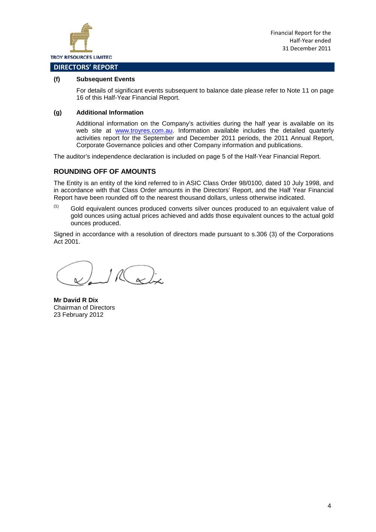

#### **DIRECTORS' REPORT**

#### **(f) Subsequent Events**

For details of significant events subsequent to balance date please refer to Note 11 on page 16 of this Half-Year Financial Report.

#### **(g) Additional Information**

Additional information on the Company's activities during the half year is available on its web site at [www.troyres.com.au.](http://www.troyres.com.au/) Information available includes the detailed quarterly activities report for the September and December 2011 periods, the 2011 Annual Report, Corporate Governance policies and other Company information and publications.

The auditor's independence declaration is included on page 5 of the Half-Year Financial Report.

### **ROUNDING OFF OF AMOUNTS**

The Entity is an entity of the kind referred to in ASIC Class Order 98/0100, dated 10 July 1998, and in accordance with that Class Order amounts in the Directors' Report, and the Half Year Financial Report have been rounded off to the nearest thousand dollars, unless otherwise indicated.

 $(1)$  Gold equivalent ounces produced converts silver ounces produced to an equivalent value of gold ounces using actual prices achieved and adds those equivalent ounces to the actual gold ounces produced.

Signed in accordance with a resolution of directors made pursuant to s.306 (3) of the Corporations Act 2001.

 $10(x)$ 

**Mr David R Dix** Chairman of Directors 23 February 2012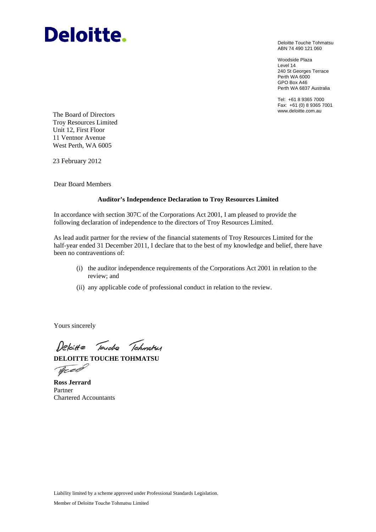# **Deloitte.**

Deloitte Touche Tohmatsu ABN 74 490 121 060

Woodside Plaza Level 14 240 St Georges Terrace Perth WA 6000 GPO Box A46 Perth WA 6837 Australia

Tel: +61 8 9365 7000 Fax: +61 (0) 8 9365 7001

www.deloitte.com.au The Board of Directors Troy Resources Limited Unit 12, First Floor 11 Ventnor Avenue West Perth, WA 6005

23 February 2012

Dear Board Members

#### **Auditor's Independence Declaration to Troy Resources Limited**

In accordance with section 307C of the Corporations Act 2001, I am pleased to provide the following declaration of independence to the directors of Troy Resources Limited.

As lead audit partner for the review of the financial statements of Troy Resources Limited for the half-year ended 31 December 2011, I declare that to the best of my knowledge and belief, there have been no contraventions of:

- (i) the auditor independence requirements of the Corporations Act 2001 in relation to the review; and
- (ii) any applicable code of professional conduct in relation to the review.

Yours sincerely

Deloitte Touche Tohmatsy

**DELOITTE TOUCHE TOHMATSU**  Tree

**Ross Jerrard**  Partner Chartered Accountants

Liability limited by a scheme approved under Professional Standards Legislation.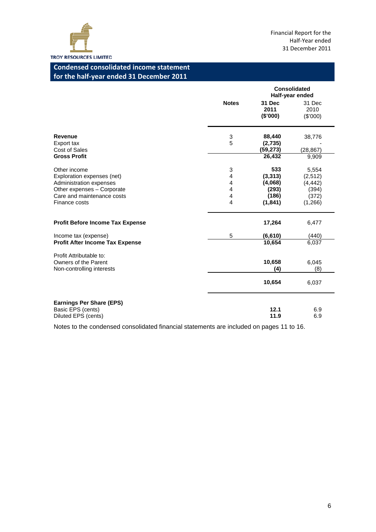

# **Condensed consolidated income statement for the half-year ended 31 December 2011**

|                                                                                                                                                    |                            | <b>Consolidated</b><br>Half-year ended                   |                                                           |
|----------------------------------------------------------------------------------------------------------------------------------------------------|----------------------------|----------------------------------------------------------|-----------------------------------------------------------|
|                                                                                                                                                    | <b>Notes</b>               | 31 Dec<br>2011<br>(\$'000)                               | 31 Dec<br>2010<br>(\$'000)                                |
| <b>Revenue</b><br>Export tax<br>Cost of Sales<br><b>Gross Profit</b>                                                                               | 3<br>5                     | 88,440<br>(2,735)<br>(59, 273)<br>26,432                 | 38,776<br>(28, 867)<br>9,909                              |
| Other income<br>Exploration expenses (net)<br>Administration expenses<br>Other expenses - Corporate<br>Care and maintenance costs<br>Finance costs | 3<br>4<br>4<br>4<br>4<br>4 | 533<br>(3, 313)<br>(4,068)<br>(293)<br>(186)<br>(1, 841) | 5,554<br>(2,512)<br>(4, 442)<br>(394)<br>(372)<br>(1,266) |
| <b>Profit Before Income Tax Expense</b>                                                                                                            |                            | 17,264                                                   | 6,477                                                     |
| Income tax (expense)<br><b>Profit After Income Tax Expense</b>                                                                                     | 5                          | (6, 610)<br>10,654                                       | (440)<br>6,037                                            |
| Profit Attributable to:<br>Owners of the Parent<br>Non-controlling interests                                                                       |                            | 10,658<br>(4)                                            | 6,045<br>(8)                                              |
|                                                                                                                                                    |                            | 10,654                                                   | 6,037                                                     |
| <b>Earnings Per Share (EPS)</b><br>Basic EPS (cents)<br>Diluted EPS (cents)                                                                        |                            | 12.1<br>11.9                                             | 6.9<br>6.9                                                |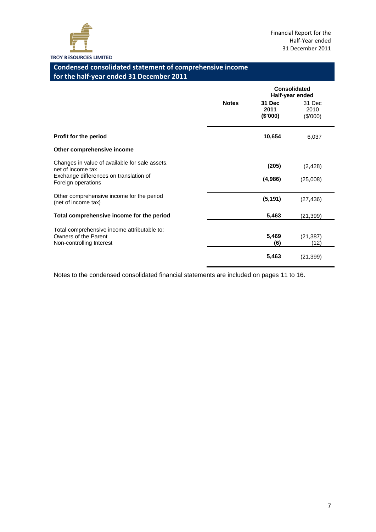

# **Condensed consolidated statement of comprehensive income for the half-year ended 31 December 2011**

|                                                                                                 |              | Consolidated<br>Half-year ended |                            |
|-------------------------------------------------------------------------------------------------|--------------|---------------------------------|----------------------------|
|                                                                                                 | <b>Notes</b> | 31 Dec<br>2011<br>(\$'000)      | 31 Dec<br>2010<br>(\$'000) |
| Profit for the period                                                                           |              | 10,654                          | 6,037                      |
| Other comprehensive income                                                                      |              |                                 |                            |
| Changes in value of available for sale assets,<br>net of income tax                             |              | (205)                           | (2, 428)                   |
| Exchange differences on translation of<br>Foreign operations                                    |              | (4,986)                         | (25,008)                   |
| Other comprehensive income for the period<br>(net of income tax)                                |              | (5, 191)                        | (27, 436)                  |
| Total comprehensive income for the period                                                       |              | 5,463                           | (21, 399)                  |
| Total comprehensive income attributable to:<br>Owners of the Parent<br>Non-controlling Interest |              | 5,469<br>(6)                    | (21, 387)<br>(12)          |
|                                                                                                 |              | 5,463                           | (21, 399)                  |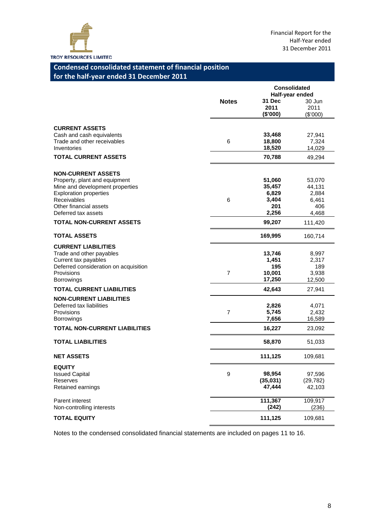

# **Condensed consolidated statement of financial position for the half-year ended 31 December 2011**

|                                                                                                                                                                                                |                | <b>Consolidated</b><br>Half-year ended             |                                                    |
|------------------------------------------------------------------------------------------------------------------------------------------------------------------------------------------------|----------------|----------------------------------------------------|----------------------------------------------------|
|                                                                                                                                                                                                | <b>Notes</b>   | 31 Dec<br>2011<br>(\$'000)                         | 30 Jun<br>2011<br>$(\$'000)$                       |
| <b>CURRENT ASSETS</b><br>Cash and cash equivalents<br>Trade and other receivables<br>Inventories                                                                                               | 6              | 33,468<br>18,800<br>18,520                         | 27,941<br>7,324<br>14,029                          |
| <b>TOTAL CURRENT ASSETS</b>                                                                                                                                                                    |                | 70,788                                             | 49,294                                             |
| <b>NON-CURRENT ASSETS</b><br>Property, plant and equipment<br>Mine and development properties<br><b>Exploration properties</b><br>Receivables<br>Other financial assets<br>Deferred tax assets | 6              | 51,060<br>35,457<br>6,829<br>3,404<br>201<br>2,256 | 53,070<br>44,131<br>2,884<br>6,461<br>406<br>4,468 |
| <b>TOTAL NON-CURRENT ASSETS</b>                                                                                                                                                                |                | 99,207                                             | 111,420                                            |
| <b>TOTAL ASSETS</b>                                                                                                                                                                            |                | 169,995                                            | 160,714                                            |
| <b>CURRENT LIABILITIES</b><br>Trade and other payables<br>Current tax payables<br>Deferred consideration on acquisition<br>Provisions<br><b>Borrowings</b>                                     | $\overline{7}$ | 13,746<br>1,451<br>195<br>10,001<br>17,250         | 8,997<br>2,317<br>189<br>3,938<br>12,500           |
| <b>TOTAL CURRENT LIABILITIES</b>                                                                                                                                                               |                | 42,643                                             | 27,941                                             |
| <b>NON-CURRENT LIABILITIES</b><br>Deferred tax liabilities<br>Provisions<br><b>Borrowings</b>                                                                                                  | $\overline{7}$ | 2,826<br>5,745<br>7,656                            | 4,071<br>2,432<br>16,589                           |
| <b>TOTAL NON-CURRENT LIABILITIES</b>                                                                                                                                                           |                | 16,227                                             | 23,092                                             |
| <b>TOTAL LIABILITIES</b>                                                                                                                                                                       |                | 58,870                                             | 51,033                                             |
| <b>NET ASSETS</b>                                                                                                                                                                              |                | 111,125                                            | 109,681                                            |
| <b>EQUITY</b><br><b>Issued Capital</b><br>Reserves<br>Retained earnings                                                                                                                        | 9              | 98,954<br>(35,031)<br>47,444                       | 97,596<br>(29, 782)<br>42,103                      |
| Parent interest<br>Non-controlling interests                                                                                                                                                   |                | 111,367<br>(242)                                   | 109,917<br>(236)                                   |
| <b>TOTAL EQUITY</b>                                                                                                                                                                            |                | 111,125                                            | 109,681                                            |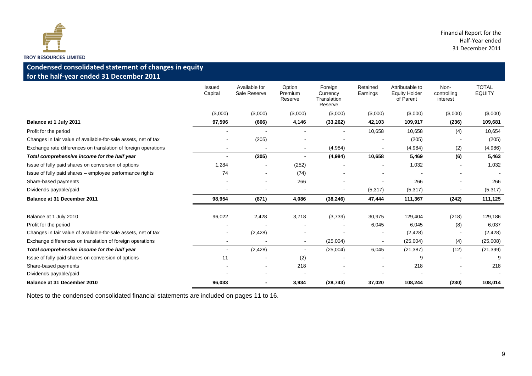

# **Condensed consolidated statement of changes in equity for the half-year ended 31 December 2011**

|                                                                | Issued<br>Capital        | Available for<br>Sale Reserve | Option<br>Premium<br>Reserve | Foreign<br>Currency<br>Translation<br>Reserve | Retained<br>Earnings | Attributable to<br><b>Equity Holder</b><br>of Parent | Non-<br>controlling<br>interest | <b>TOTAL</b><br><b>EQUITY</b> |
|----------------------------------------------------------------|--------------------------|-------------------------------|------------------------------|-----------------------------------------------|----------------------|------------------------------------------------------|---------------------------------|-------------------------------|
|                                                                | (\$,000)                 | (\$,000)                      | (\$,000)                     | (\$,000)                                      | (\$,000)             | (\$,000)                                             | (\$,000)                        | (\$,000)                      |
| Balance at 1 July 2011                                         | 97,596                   | (666)                         | 4,146                        | (33, 262)                                     | 42,103               | 109,917                                              | (236)                           | 109,681                       |
| Profit for the period                                          |                          |                               |                              |                                               | 10,658               | 10,658                                               | (4)                             | 10,654                        |
| Changes in fair value of available-for-sale assets, net of tax |                          | (205)                         |                              |                                               |                      | (205)                                                |                                 | (205)                         |
| Exchange rate differences on translation of foreign operations | $\overline{\phantom{a}}$ |                               | $\blacksquare$               | (4,984)                                       | $\blacksquare$       | (4,984)                                              | (2)                             | (4,986)                       |
| Total comprehensive income for the half year                   |                          | (205)                         |                              | (4,984)                                       | 10,658               | 5,469                                                | (6)                             | 5,463                         |
| Issue of fully paid shares on conversion of options            | 1,284                    |                               | (252)                        |                                               |                      | 1,032                                                |                                 | 1,032                         |
| Issue of fully paid shares – employee performance rights       | 74                       |                               | (74)                         |                                               |                      |                                                      |                                 |                               |
| Share-based payments                                           |                          |                               | 266                          |                                               |                      | 266                                                  |                                 | 266                           |
| Dividends payable/paid                                         |                          |                               | $\overline{\phantom{a}}$     |                                               | (5, 317)             | (5, 317)                                             |                                 | (5, 317)                      |
| <b>Balance at 31 December 2011</b>                             | 98,954                   | (871)                         | 4,086                        | (38, 246)                                     | 47,444               | 111,367                                              | (242)                           | 111,125                       |
| Balance at 1 July 2010                                         | 96,022                   | 2,428                         | 3,718                        | (3,739)                                       | 30,975               | 129,404                                              | (218)                           | 129,186                       |
| Profit for the period                                          |                          |                               |                              |                                               | 6,045                | 6,045                                                | (8)                             | 6,037                         |
| Changes in fair value of available-for-sale assets, net of tax |                          | (2, 428)                      |                              |                                               |                      | (2, 428)                                             |                                 | (2, 428)                      |
| Exchange differences on translation of foreign operations      |                          |                               | $\blacksquare$               | (25,004)                                      |                      | (25,004)                                             | (4)                             | (25,008)                      |
| Total comprehensive income for the half year                   |                          | (2, 428)                      | $\overline{\phantom{a}}$     | (25,004)                                      | 6,045                | (21, 387)                                            | (12)                            | (21, 399)                     |
| Issue of fully paid shares on conversion of options            | 11                       |                               | (2)                          |                                               |                      |                                                      |                                 | 9                             |
| Share-based payments                                           |                          |                               | 218                          |                                               |                      | 218                                                  |                                 | 218                           |
| Dividends payable/paid                                         |                          |                               |                              |                                               |                      |                                                      |                                 |                               |
| Balance at 31 December 2010                                    | 96,033                   |                               | 3,934                        | (28, 743)                                     | 37,020               | 108,244                                              | (230)                           | 108,014                       |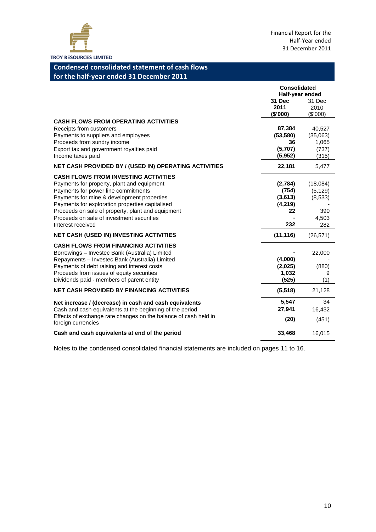

# **Condensed consolidated statement of cash flows for the half-year ended 31 December 2011**

|                                                                                                                                                                                                                                                                                                                                                          | <b>Consolidated</b><br>Half-year ended              |                                                        |
|----------------------------------------------------------------------------------------------------------------------------------------------------------------------------------------------------------------------------------------------------------------------------------------------------------------------------------------------------------|-----------------------------------------------------|--------------------------------------------------------|
|                                                                                                                                                                                                                                                                                                                                                          | <b>31 Dec</b><br>2011<br>(\$'000)                   | 31 Dec<br>2010<br>(\$'000)                             |
| <b>CASH FLOWS FROM OPERATING ACTIVITIES</b><br>Receipts from customers<br>Payments to suppliers and employees<br>Proceeds from sundry income<br>Export tax and government royalties paid<br>Income taxes paid                                                                                                                                            | 87,384<br>(53, 580)<br>36<br>(5,707)<br>(5,952)     | 40,527<br>(35,063)<br>1,065<br>(737)<br>(315)          |
| NET CASH PROVIDED BY / (USED IN) OPERATING ACTIVITIES                                                                                                                                                                                                                                                                                                    | 22,181                                              | 5,477                                                  |
| <b>CASH FLOWS FROM INVESTING ACTIVITIES</b><br>Payments for property, plant and equipment<br>Payments for power line commitments<br>Payments for mine & development properties<br>Payments for exploration properties capitalised<br>Proceeds on sale of property, plant and equipment<br>Proceeds on sale of investment securities<br>Interest received | (2,784)<br>(754)<br>(3,613)<br>(4,219)<br>22<br>232 | (18,084)<br>(5, 129)<br>(8,533)<br>390<br>4,503<br>282 |
| <b>NET CASH (USED IN) INVESTING ACTIVITIES</b>                                                                                                                                                                                                                                                                                                           | (11, 116)                                           | (26, 571)                                              |
| <b>CASH FLOWS FROM FINANCING ACTIVITIES</b><br>Borrowings - Investec Bank (Australia) Limited<br>Repayments - Investec Bank (Australia) Limited<br>Payments of debt raising and interest costs<br>Proceeds from issues of equity securities<br>Dividends paid - members of parent entity                                                                 | (4,000)<br>(2,025)<br>1,032<br>(525)                | 22,000<br>(880)<br>9<br>(1)                            |
| <b>NET CASH PROVIDED BY FINANCING ACTIVITIES</b>                                                                                                                                                                                                                                                                                                         | (5, 518)                                            | 21,128                                                 |
| Net increase / (decrease) in cash and cash equivalents<br>Cash and cash equivalents at the beginning of the period<br>Effects of exchange rate changes on the balance of cash held in<br>foreign currencies                                                                                                                                              | 5,547<br>27,941<br>(20)                             | 34<br>16,432<br>(451)                                  |
| Cash and cash equivalents at end of the period                                                                                                                                                                                                                                                                                                           | 33,468                                              | 16,015                                                 |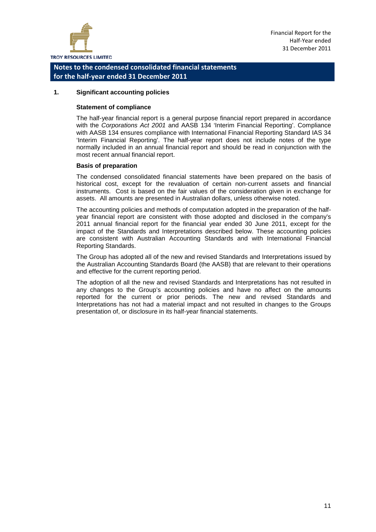

#### **1. Significant accounting policies**

#### **Statement of compliance**

The half-year financial report is a general purpose financial report prepared in accordance with the *Corporations Act 2001* and AASB 134 'Interim Financial Reporting'. Compliance with AASB 134 ensures compliance with International Financial Reporting Standard IAS 34 'Interim Financial Reporting'. The half-year report does not include notes of the type normally included in an annual financial report and should be read in conjunction with the most recent annual financial report.

#### **Basis of preparation**

The condensed consolidated financial statements have been prepared on the basis of historical cost, except for the revaluation of certain non-current assets and financial instruments. Cost is based on the fair values of the consideration given in exchange for assets. All amounts are presented in Australian dollars, unless otherwise noted.

The accounting policies and methods of computation adopted in the preparation of the halfyear financial report are consistent with those adopted and disclosed in the company's 2011 annual financial report for the financial year ended 30 June 2011, except for the impact of the Standards and Interpretations described below. These accounting policies are consistent with Australian Accounting Standards and with International Financial Reporting Standards.

The Group has adopted all of the new and revised Standards and Interpretations issued by the Australian Accounting Standards Board (the AASB) that are relevant to their operations and effective for the current reporting period.

The adoption of all the new and revised Standards and Interpretations has not resulted in any changes to the Group's accounting policies and have no affect on the amounts reported for the current or prior periods. The new and revised Standards and Interpretations has not had a material impact and not resulted in changes to the Groups presentation of, or disclosure in its half-year financial statements.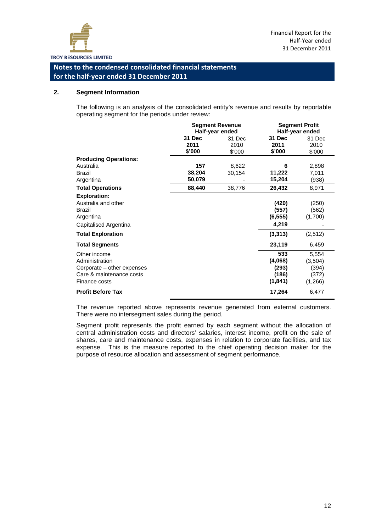

#### **2. Segment Information**

The following is an analysis of the consolidated entity's revenue and results by reportable operating segment for the periods under review:

|                              |        | <b>Segment Revenue</b> |          | <b>Segment Profit</b> |
|------------------------------|--------|------------------------|----------|-----------------------|
|                              |        | Half-year ended        |          | Half-year ended       |
|                              | 31 Dec | 31 Dec                 | 31 Dec   | 31 Dec                |
|                              | 2011   | 2010                   | 2011     | 2010                  |
|                              | \$'000 | \$'000                 | \$'000   | \$'000                |
| <b>Producing Operations:</b> |        |                        |          |                       |
| Australia                    | 157    | 8,622                  | 6        | 2,898                 |
| <b>Brazil</b>                | 38,204 | 30,154                 | 11,222   | 7,011                 |
| Argentina                    | 50,079 |                        | 15,204   | (938)                 |
| <b>Total Operations</b>      | 88,440 | 38,776                 | 26,432   | 8,971                 |
| <b>Exploration:</b>          |        |                        |          |                       |
| Australia and other          |        |                        | (420)    | (250)                 |
| Brazil                       |        |                        | (557)    | (562)                 |
| Argentina                    |        |                        | (6, 555) | (1,700)               |
| Capitalised Argentina        |        |                        | 4,219    |                       |
| <b>Total Exploration</b>     |        |                        | (3, 313) | (2,512)               |
| <b>Total Segments</b>        |        |                        | 23,119   | 6,459                 |
| Other income                 |        |                        | 533      | 5,554                 |
| Administration               |        |                        | (4,068)  | (3,504)               |
| Corporate – other expenses   |        |                        | (293)    | (394)                 |
| Care & maintenance costs     |        |                        | (186)    | (372)                 |
| Finance costs                |        |                        | (1, 841) | (1,266)               |
| <b>Profit Before Tax</b>     |        |                        | 17,264   | 6,477                 |

The revenue reported above represents revenue generated from external customers. There were no intersegment sales during the period.

Segment profit represents the profit earned by each segment without the allocation of central administration costs and directors' salaries, interest income, profit on the sale of shares, care and maintenance costs, expenses in relation to corporate facilities, and tax expense. This is the measure reported to the chief operating decision maker for the purpose of resource allocation and assessment of segment performance.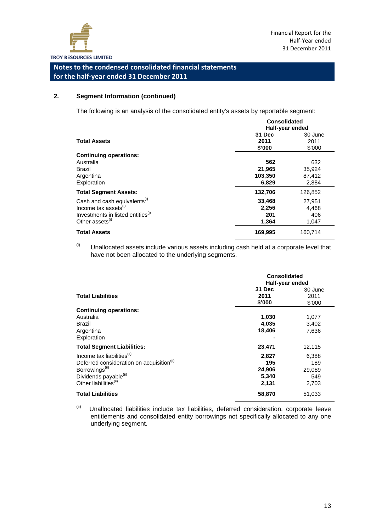

#### **2. Segment Information (continued)**

The following is an analysis of the consolidated entity's assets by reportable segment:

|                                                                                                                                                              | <b>Consolidated</b><br>Half-year ended |                                  |  |  |
|--------------------------------------------------------------------------------------------------------------------------------------------------------------|----------------------------------------|----------------------------------|--|--|
| <b>Total Assets</b>                                                                                                                                          | 31 Dec<br>2011<br>\$'000               | 30 June<br>2011<br>\$'000        |  |  |
| <b>Continuing operations:</b><br>Australia<br><b>Brazil</b><br>Argentina<br>Exploration                                                                      | 562<br>21,965<br>103,350<br>6,829      | 632<br>35,924<br>87,412<br>2,884 |  |  |
| <b>Total Segment Assets:</b>                                                                                                                                 | 132,706                                | 126,852                          |  |  |
| Cash and cash equivalents <sup>(i)</sup><br>Income tax assets <sup>(1)</sup><br>Investments in listed entities <sup>(i)</sup><br>Other assets <sup>(i)</sup> | 33,468<br>2,256<br>201<br>1,364        | 27.951<br>4.468<br>406<br>1,047  |  |  |
| <b>Total Assets</b>                                                                                                                                          | 169,995                                | 160,714                          |  |  |

 $<sup>(i)</sup>$  Unallocated assets include various assets including cash held at a corporate level that</sup> have not been allocated to the underlying segments.

|                                                                                                                                                                                                         | <b>Consolidated</b><br>Half-year ended   |                                        |  |  |
|---------------------------------------------------------------------------------------------------------------------------------------------------------------------------------------------------------|------------------------------------------|----------------------------------------|--|--|
| <b>Total Liabilities</b>                                                                                                                                                                                | <b>31 Dec</b><br>2011<br>\$'000          | 30 June<br>2011<br>\$'000              |  |  |
| <b>Continuing operations:</b><br>Australia<br>Brazil<br>Argentina<br>Exploration                                                                                                                        | 1,030<br>4,035<br>18,406                 | 1,077<br>3,402<br>7,636                |  |  |
| <b>Total Segment Liabilities:</b>                                                                                                                                                                       | 23,471                                   | 12,115                                 |  |  |
| Income tax liabilities <sup>(ii)</sup><br>Deferred consideration on acquisition <sup>(II)</sup><br>Borrowings <sup>(ii)</sup><br>Dividends payable <sup>(ii)</sup><br>Other liabilities <sup>(ii)</sup> | 2,827<br>195<br>24,906<br>5,340<br>2,131 | 6,388<br>189<br>29,089<br>549<br>2,703 |  |  |
| <b>Total Liabilities</b>                                                                                                                                                                                | 58,870                                   | 51,033                                 |  |  |

 $(iii)$  Unallocated liabilities include tax liabilities, deferred consideration, corporate leave entitlements and consolidated entity borrowings not specifically allocated to any one underlying segment.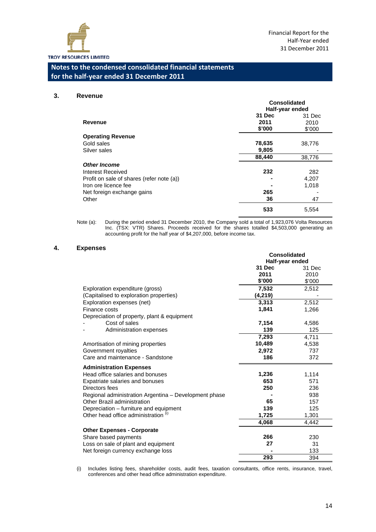

 $\overline{a}$ 

# **Notes to the condensed consolidated financial statements for the half-year ended 31 December 2011**

#### **3. Revenue**

|                                           | <b>Consolidated</b> |        |  |  |
|-------------------------------------------|---------------------|--------|--|--|
|                                           | Half-year ended     |        |  |  |
|                                           | 31 Dec              | 31 Dec |  |  |
| Revenue                                   | 2011                | 2010   |  |  |
|                                           | \$'000              | \$'000 |  |  |
| <b>Operating Revenue</b>                  |                     |        |  |  |
| Gold sales                                | 78,635              | 38,776 |  |  |
| Silver sales                              | 9,805               |        |  |  |
|                                           | 88,440              | 38,776 |  |  |
| <b>Other Income</b>                       |                     |        |  |  |
| Interest Received                         | 232                 | 282    |  |  |
| Profit on sale of shares (refer note (a)) |                     | 4,207  |  |  |
| Iron ore licence fee                      |                     | 1,018  |  |  |
| Net foreign exchange gains                | 265                 |        |  |  |
| Other                                     | 36                  | 47     |  |  |
|                                           | 533                 | 5,554  |  |  |

Note (a): During the period ended 31 December 2010, the Company sold a total of 1,923,076 Volta Resources Inc. (TSX: VTR) Shares. Proceeds received for the shares totalled \$4,503,000 generating an accounting profit for the half year of \$4,207,000, before income tax.

#### **4. Expenses**

|                                                       | Consolidated    |        |
|-------------------------------------------------------|-----------------|--------|
|                                                       | Half-year ended |        |
|                                                       | 31 Dec          | 31 Dec |
|                                                       | 2011            | 2010   |
|                                                       | \$'000          | \$'000 |
| Exploration expenditure (gross)                       | 7,532           | 2,512  |
| (Capitalised to exploration properties)               | (4, 219)        |        |
| Exploration expenses (net)                            | 3,313           | 2,512  |
| Finance costs                                         | 1,841           | 1,266  |
| Depreciation of property, plant & equipment           |                 |        |
| Cost of sales                                         | 7,154           | 4,586  |
| Administration expenses                               | 139             | 125    |
|                                                       | 7,293           | 4,711  |
| Amortisation of mining properties                     | 10,489          | 4,538  |
| Government royalties                                  | 2,972           | 737    |
| Care and maintenance - Sandstone                      | 186             | 372    |
| <b>Administration Expenses</b>                        |                 |        |
| Head office salaries and bonuses                      | 1,236           | 1,114  |
| Expatriate salaries and bonuses                       | 653             | 571    |
| Directors fees                                        | 250             | 236    |
| Regional administration Argentina - Development phase |                 | 938    |
| Other Brazil administration                           | 65              | 157    |
| Depreciation - furniture and equipment                | 139             | 125    |
| Other head office administration <sup>(i)</sup>       | 1,725           | 1,301  |
|                                                       | 4,068           | 4,442  |
| <b>Other Expenses - Corporate</b>                     |                 |        |
| Share based payments                                  | 266             | 230    |
| Loss on sale of plant and equipment                   | 27              | 31     |
| Net foreign currency exchange loss                    |                 | 133    |
|                                                       | 293             | 394    |

(i) Includes listing fees, shareholder costs, audit fees, taxation consultants, office rents, insurance, travel, conferences and other head office administration expenditure.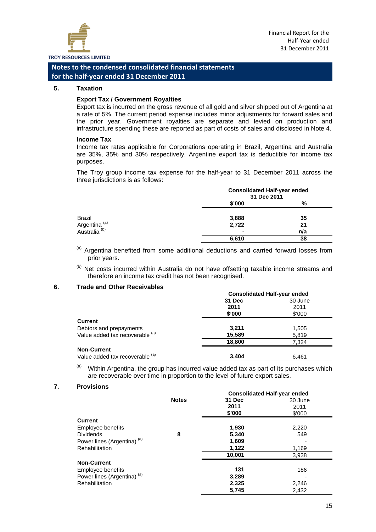

#### **5. Taxation**

#### **Export Tax / Government Royalties**

Export tax is incurred on the gross revenue of all gold and silver shipped out of Argentina at a rate of 5%. The current period expense includes minor adjustments for forward sales and the prior year. Government royalties are separate and levied on production and infrastructure spending these are reported as part of costs of sales and disclosed in Note 4.

#### **Income Tax**

Income tax rates applicable for Corporations operating in Brazil, Argentina and Australia are 35%, 35% and 30% respectively. Argentine export tax is deductible for income tax purposes.

The Troy group income tax expense for the half-year to 31 December 2011 across the three jurisdictions is as follows:

|                                                      | <b>Consolidated Half-year ended</b><br>31 Dec 2011 |     |
|------------------------------------------------------|----------------------------------------------------|-----|
|                                                      | \$'000                                             | %   |
| Brazil                                               | 3,888                                              | 35  |
| Argentina <sup>(a)</sup><br>Australia <sup>(b)</sup> | 2,722                                              | 21  |
|                                                      | ۰                                                  | n/a |
|                                                      | 6,610                                              | 38  |

(a) Argentina benefited from some additional deductions and carried forward losses from prior years.

(b) Net costs incurred within Australia do not have offsetting taxable income streams and therefore an income tax credit has not been recognised.

#### **6. Trade and Other Receivables**

|                                 | <b>Consolidated Half-year ended</b> |         |  |
|---------------------------------|-------------------------------------|---------|--|
|                                 | 31 Dec                              | 30 June |  |
|                                 | 2011                                | 2011    |  |
|                                 | \$'000                              | \$'000  |  |
| <b>Current</b>                  |                                     |         |  |
| Debtors and prepayments         | 3.211                               | 1,505   |  |
| Value added tax recoverable (a) | 15,589                              | 5,819   |  |
|                                 | 18,800                              | 7.324   |  |
| <b>Non-Current</b>              |                                     |         |  |
| Value added tax recoverable (a) | 3.404                               | 6.461   |  |

 $(a)$  Within Argentina, the group has incurred value added tax as part of its purchases which are recoverable over time in proportion to the level of future export sales.

#### **7. Provisions**

|                                        |              |        | <b>Consolidated Half-year ended</b> |  |  |
|----------------------------------------|--------------|--------|-------------------------------------|--|--|
|                                        | <b>Notes</b> | 31 Dec | 30 June                             |  |  |
|                                        |              | 2011   | 2011                                |  |  |
|                                        |              | \$'000 | \$'000                              |  |  |
| <b>Current</b>                         |              |        |                                     |  |  |
| Employee benefits                      |              | 1,930  | 2,220                               |  |  |
| <b>Dividends</b>                       | 8            | 5,340  | 549                                 |  |  |
| Power lines (Argentina) <sup>(a)</sup> |              | 1,609  |                                     |  |  |
| Rehabilitation                         |              | 1,122  | 1,169                               |  |  |
|                                        |              | 10,001 | 3,938                               |  |  |
| <b>Non-Current</b>                     |              |        |                                     |  |  |
| Employee benefits                      |              | 131    | 186                                 |  |  |
| Power lines (Argentina) <sup>(a)</sup> |              | 3,289  |                                     |  |  |
| <b>Rehabilitation</b>                  |              | 2,325  | 2,246                               |  |  |
|                                        |              | 5,745  | 2,432                               |  |  |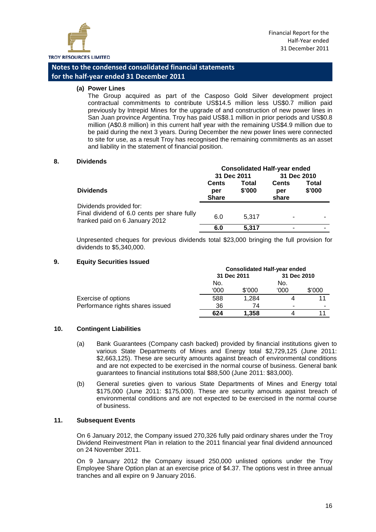

**(a) Power Lines**

The Group acquired as part of the Casposo Gold Silver development project contractual commitments to contribute US\$14.5 million less US\$0.7 million paid previously by Intrepid Mines for the upgrade of and construction of new power lines in San Juan province Argentina. Troy has paid US\$8.1 million in prior periods and US\$0.8 million (A\$0.8 million) in this current half year with the remaining US\$4.9 million due to be paid during the next 3 years. During December the new power lines were connected to site for use, as a result Troy has recognised the remaining commitments as an asset and liability in the statement of financial position.

#### **8. Dividends**

|                                                                                                          | <b>Consolidated Half-year ended</b> |                        |                              |                 |
|----------------------------------------------------------------------------------------------------------|-------------------------------------|------------------------|------------------------------|-----------------|
|                                                                                                          | 31 Dec 2011                         |                        | 31 Dec 2010                  |                 |
| <b>Dividends</b>                                                                                         | <b>Cents</b><br>per<br><b>Share</b> | <b>Total</b><br>\$'000 | <b>Cents</b><br>per<br>share | Total<br>\$'000 |
| Dividends provided for:<br>Final dividend of 6.0 cents per share fully<br>franked paid on 6 January 2012 | 6.0                                 | 5.317                  |                              |                 |
|                                                                                                          | 6.0                                 | 5,317                  |                              |                 |

Unpresented cheques for previous dividends total \$23,000 bringing the full provision for dividends to \$5,340,000.

#### **9. Equity Securities Issued**

|                                  | <b>Consolidated Half-year ended</b> |        |             |        |
|----------------------------------|-------------------------------------|--------|-------------|--------|
|                                  | 31 Dec 2011                         |        | 31 Dec 2010 |        |
|                                  | No.                                 |        | No.         |        |
|                                  | 000'                                | \$'000 | '000        | \$'000 |
| Exercise of options              | 588                                 | 1.284  |             |        |
| Performance rights shares issued | 36                                  | 74     | -           |        |
|                                  | 624                                 | 1.358  |             |        |

#### **10. Contingent Liabilities**

- (a) Bank Guarantees (Company cash backed) provided by financial institutions given to various State Departments of Mines and Energy total \$2,729,125 (June 2011: \$2,663,125). These are security amounts against breach of environmental conditions and are not expected to be exercised in the normal course of business. General bank guarantees to financial institutions total \$88,500 (June 2011: \$83,000).
- (b) General sureties given to various State Departments of Mines and Energy total \$175,000 (June 2011: \$175,000). These are security amounts against breach of environmental conditions and are not expected to be exercised in the normal course of business.

#### **11. Subsequent Events**

On 6 January 2012, the Company issued 270,326 fully paid ordinary shares under the Troy Dividend Reinvestment Plan in relation to the 2011 financial year final dividend announced on 24 November 2011.

On 9 January 2012 the Company issued 250,000 unlisted options under the Troy Employee Share Option plan at an exercise price of \$4.37. The options vest in three annual tranches and all expire on 9 January 2016.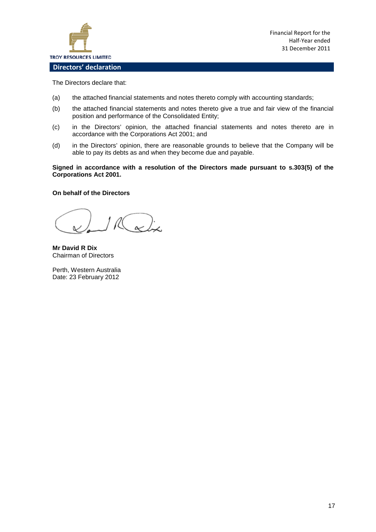

Financial Report for the Half-Year ended 31 December 2011

**Directors' declaration**

The Directors declare that:

- (a) the attached financial statements and notes thereto comply with accounting standards;
- (b) the attached financial statements and notes thereto give a true and fair view of the financial position and performance of the Consolidated Entity;
- (c) in the Directors' opinion, the attached financial statements and notes thereto are in accordance with the Corporations Act 2001; and
- (d) in the Directors' opinion, there are reasonable grounds to believe that the Company will be able to pay its debts as and when they become due and payable.

#### **Signed in accordance with a resolution of the Directors made pursuant to s.303(5) of the Corporations Act 2001.**

#### **On behalf of the Directors**

R & j.

**Mr David R Dix** Chairman of Directors

Perth, Western Australia Date: 23 February 2012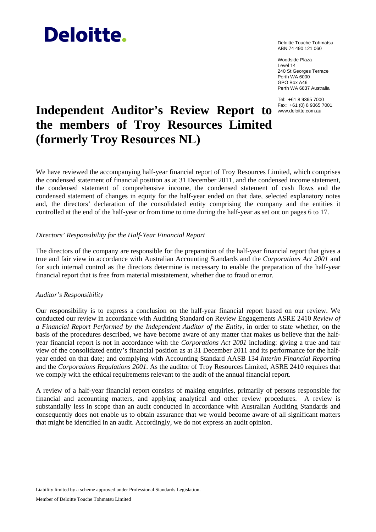# **Deloitte.**

Deloitte Touche Tohmatsu ABN 74 490 121 060

Woodside Plaza Level 14 240 St Georges Terrace Perth WA 6000 GPO Box A46 Perth WA 6837 Australia

Tel: +61 8 9365 7000

# Independent Auditor's Review Report to **Kax: +61 (0) 8 9365 7001 the members of Troy Resources Limited (formerly Troy Resources NL)**

We have reviewed the accompanying half-year financial report of Troy Resources Limited, which comprises the condensed statement of financial position as at 31 December 2011, and the condensed income statement, the condensed statement of comprehensive income, the condensed statement of cash flows and the condensed statement of changes in equity for the half-year ended on that date, selected explanatory notes and, the directors' declaration of the consolidated entity comprising the company and the entities it controlled at the end of the half-year or from time to time during the half-year as set out on pages 6 to 17.

#### *Directors' Responsibility for the Half-Year Financial Report*

The directors of the company are responsible for the preparation of the half-year financial report that gives a true and fair view in accordance with Australian Accounting Standards and the *Corporations Act 2001* and for such internal control as the directors determine is necessary to enable the preparation of the half-year financial report that is free from material misstatement, whether due to fraud or error.

#### *Auditor's Responsibility*

Our responsibility is to express a conclusion on the half-year financial report based on our review. We conducted our review in accordance with Auditing Standard on Review Engagements ASRE 2410 *Review of a Financial Report Performed by the Independent Auditor of the Entity*, in order to state whether, on the basis of the procedures described, we have become aware of any matter that makes us believe that the halfyear financial report is not in accordance with the *Corporations Act 2001* including: giving a true and fair view of the consolidated entity's financial position as at 31 December 2011 and its performance for the halfyear ended on that date; and complying with Accounting Standard AASB 134 *Interim Financial Reporting* and the *Corporations Regulations 2001*. As the auditor of Troy Resources Limited, ASRE 2410 requires that we comply with the ethical requirements relevant to the audit of the annual financial report.

A review of a half-year financial report consists of making enquiries, primarily of persons responsible for financial and accounting matters, and applying analytical and other review procedures. A review is substantially less in scope than an audit conducted in accordance with Australian Auditing Standards and consequently does not enable us to obtain assurance that we would become aware of all significant matters that might be identified in an audit. Accordingly, we do not express an audit opinion.

Liability limited by a scheme approved under Professional Standards Legislation.